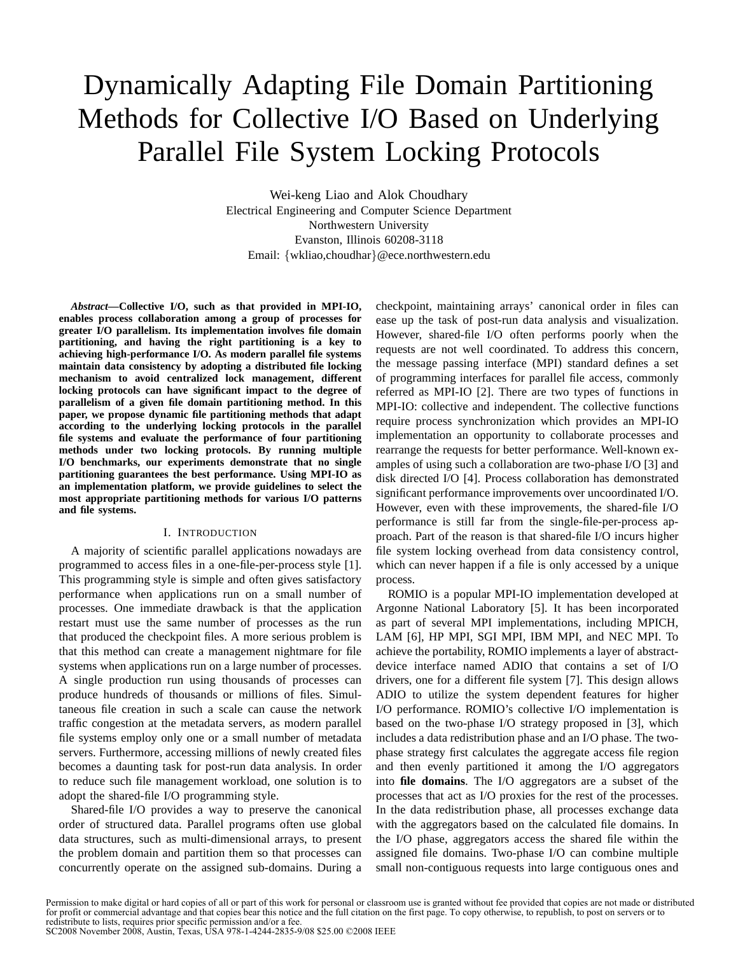# Dynamically Adapting File Domain Partitioning Methods for Collective I/O Based on Underlying Parallel File System Locking Protocols

Wei-keng Liao and Alok Choudhary Electrical Engineering and Computer Science Department Northwestern University Evanston, Illinois 60208-3118 Email: {wkliao,choudhar}@ece.northwestern.edu

*Abstract***—Collective I/O, such as that provided in MPI-IO, enables process collaboration among a group of processes for greater I/O parallelism. Its implementation involves file domain partitioning, and having the right partitioning is a key to achieving high-performance I/O. As modern parallel file systems maintain data consistency by adopting a distributed file locking mechanism to avoid centralized lock management, different locking protocols can have significant impact to the degree of parallelism of a given file domain partitioning method. In this paper, we propose dynamic file partitioning methods that adapt according to the underlying locking protocols in the parallel file systems and evaluate the performance of four partitioning methods under two locking protocols. By running multiple I/O benchmarks, our experiments demonstrate that no single partitioning guarantees the best performance. Using MPI-IO as an implementation platform, we provide guidelines to select the most appropriate partitioning methods for various I/O patterns and file systems.**

## I. INTRODUCTION

A majority of scientific parallel applications nowadays are programmed to access files in a one-file-per-process style [1]. This programming style is simple and often gives satisfactory performance when applications run on a small number of processes. One immediate drawback is that the application restart must use the same number of processes as the run that produced the checkpoint files. A more serious problem is that this method can create a management nightmare for file systems when applications run on a large number of processes. A single production run using thousands of processes can produce hundreds of thousands or millions of files. Simultaneous file creation in such a scale can cause the network traffic congestion at the metadata servers, as modern parallel file systems employ only one or a small number of metadata servers. Furthermore, accessing millions of newly created files becomes a daunting task for post-run data analysis. In order to reduce such file management workload, one solution is to adopt the shared-file I/O programming style.

Shared-file I/O provides a way to preserve the canonical order of structured data. Parallel programs often use global data structures, such as multi-dimensional arrays, to present the problem domain and partition them so that processes can concurrently operate on the assigned sub-domains. During a

checkpoint, maintaining arrays' canonical order in files can ease up the task of post-run data analysis and visualization. However, shared-file I/O often performs poorly when the requests are not well coordinated. To address this concern, the message passing interface (MPI) standard defines a set of programming interfaces for parallel file access, commonly referred as MPI-IO [2]. There are two types of functions in MPI-IO: collective and independent. The collective functions require process synchronization which provides an MPI-IO implementation an opportunity to collaborate processes and rearrange the requests for better performance. Well-known examples of using such a collaboration are two-phase I/O [3] and disk directed I/O [4]. Process collaboration has demonstrated significant performance improvements over uncoordinated I/O. However, even with these improvements, the shared-file I/O performance is still far from the single-file-per-process approach. Part of the reason is that shared-file I/O incurs higher file system locking overhead from data consistency control, which can never happen if a file is only accessed by a unique process.

ROMIO is a popular MPI-IO implementation developed at Argonne National Laboratory [5]. It has been incorporated as part of several MPI implementations, including MPICH, LAM [6], HP MPI, SGI MPI, IBM MPI, and NEC MPI. To achieve the portability, ROMIO implements a layer of abstractdevice interface named ADIO that contains a set of I/O drivers, one for a different file system [7]. This design allows ADIO to utilize the system dependent features for higher I/O performance. ROMIO's collective I/O implementation is based on the two-phase I/O strategy proposed in [3], which includes a data redistribution phase and an I/O phase. The twophase strategy first calculates the aggregate access file region and then evenly partitioned it among the I/O aggregators into **file domains**. The I/O aggregators are a subset of the processes that act as I/O proxies for the rest of the processes. In the data redistribution phase, all processes exchange data with the aggregators based on the calculated file domains. In the I/O phase, aggregators access the shared file within the assigned file domains. Two-phase I/O can combine multiple small non-contiguous requests into large contiguous ones and

Permission to make digital or hard copies of all or part of this work for personal or classroom use is granted without fee provided that copies are not made or distributed for profit or commercial advantage and that copies bear this notice and the full citation on the first page. To copy otherwise, to republish, to post on servers or to redistribute to lists, requires prior specific permission and/or a fee.

SC2008 November 2008, Austin, Texas, USA 978-1-4244-2835-9/08 \$25.00 ©2008 IEEE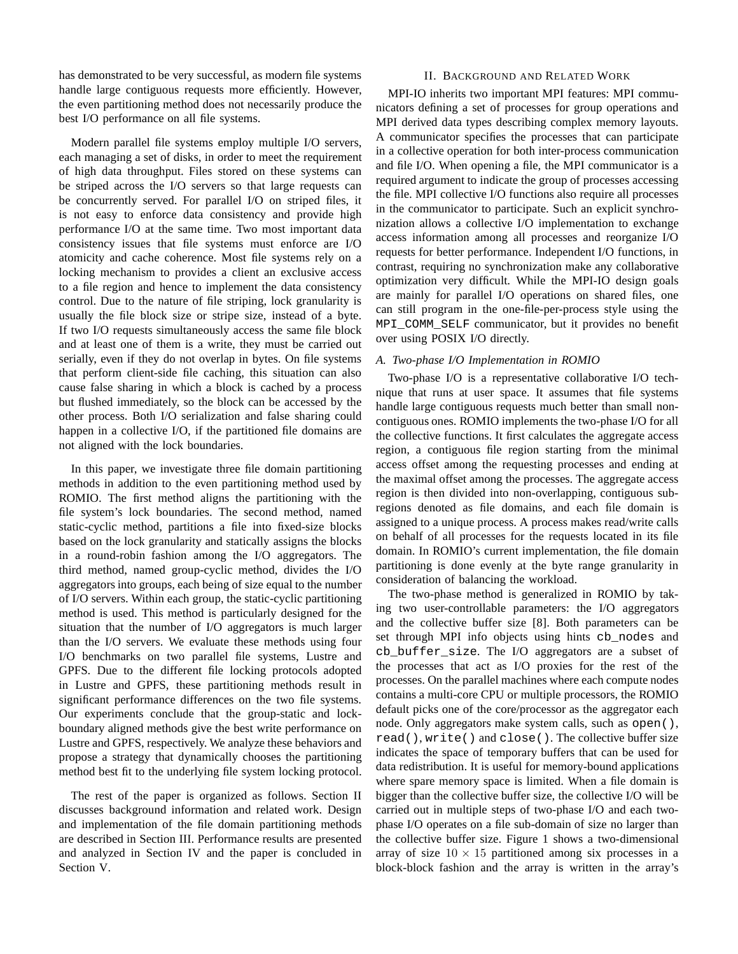has demonstrated to be very successful, as modern file systems handle large contiguous requests more efficiently. However, the even partitioning method does not necessarily produce the best I/O performance on all file systems.

Modern parallel file systems employ multiple I/O servers, each managing a set of disks, in order to meet the requirement of high data throughput. Files stored on these systems can be striped across the I/O servers so that large requests can be concurrently served. For parallel I/O on striped files, it is not easy to enforce data consistency and provide high performance I/O at the same time. Two most important data consistency issues that file systems must enforce are I/O atomicity and cache coherence. Most file systems rely on a locking mechanism to provides a client an exclusive access to a file region and hence to implement the data consistency control. Due to the nature of file striping, lock granularity is usually the file block size or stripe size, instead of a byte. If two I/O requests simultaneously access the same file block and at least one of them is a write, they must be carried out serially, even if they do not overlap in bytes. On file systems that perform client-side file caching, this situation can also cause false sharing in which a block is cached by a process but flushed immediately, so the block can be accessed by the other process. Both I/O serialization and false sharing could happen in a collective I/O, if the partitioned file domains are not aligned with the lock boundaries.

In this paper, we investigate three file domain partitioning methods in addition to the even partitioning method used by ROMIO. The first method aligns the partitioning with the file system's lock boundaries. The second method, named static-cyclic method, partitions a file into fixed-size blocks based on the lock granularity and statically assigns the blocks in a round-robin fashion among the I/O aggregators. The third method, named group-cyclic method, divides the I/O aggregators into groups, each being of size equal to the number of I/O servers. Within each group, the static-cyclic partitioning method is used. This method is particularly designed for the situation that the number of I/O aggregators is much larger than the I/O servers. We evaluate these methods using four I/O benchmarks on two parallel file systems, Lustre and GPFS. Due to the different file locking protocols adopted in Lustre and GPFS, these partitioning methods result in significant performance differences on the two file systems. Our experiments conclude that the group-static and lockboundary aligned methods give the best write performance on Lustre and GPFS, respectively. We analyze these behaviors and propose a strategy that dynamically chooses the partitioning method best fit to the underlying file system locking protocol.

The rest of the paper is organized as follows. Section II discusses background information and related work. Design and implementation of the file domain partitioning methods are described in Section III. Performance results are presented and analyzed in Section IV and the paper is concluded in Section V.

#### II. BACKGROUND AND RELATED WORK

MPI-IO inherits two important MPI features: MPI communicators defining a set of processes for group operations and MPI derived data types describing complex memory layouts. A communicator specifies the processes that can participate in a collective operation for both inter-process communication and file I/O. When opening a file, the MPI communicator is a required argument to indicate the group of processes accessing the file. MPI collective I/O functions also require all processes in the communicator to participate. Such an explicit synchronization allows a collective I/O implementation to exchange access information among all processes and reorganize I/O requests for better performance. Independent I/O functions, in contrast, requiring no synchronization make any collaborative optimization very difficult. While the MPI-IO design goals are mainly for parallel I/O operations on shared files, one can still program in the one-file-per-process style using the MPI\_COMM\_SELF communicator, but it provides no benefit over using POSIX I/O directly.

# *A. Two-phase I/O Implementation in ROMIO*

Two-phase I/O is a representative collaborative I/O technique that runs at user space. It assumes that file systems handle large contiguous requests much better than small noncontiguous ones. ROMIO implements the two-phase I/O for all the collective functions. It first calculates the aggregate access region, a contiguous file region starting from the minimal access offset among the requesting processes and ending at the maximal offset among the processes. The aggregate access region is then divided into non-overlapping, contiguous subregions denoted as file domains, and each file domain is assigned to a unique process. A process makes read/write calls on behalf of all processes for the requests located in its file domain. In ROMIO's current implementation, the file domain partitioning is done evenly at the byte range granularity in consideration of balancing the workload.

The two-phase method is generalized in ROMIO by taking two user-controllable parameters: the I/O aggregators and the collective buffer size [8]. Both parameters can be set through MPI info objects using hints cb\_nodes and cb\_buffer\_size. The I/O aggregators are a subset of the processes that act as I/O proxies for the rest of the processes. On the parallel machines where each compute nodes contains a multi-core CPU or multiple processors, the ROMIO default picks one of the core/processor as the aggregator each node. Only aggregators make system calls, such as open(), read(), write() and close(). The collective buffer size indicates the space of temporary buffers that can be used for data redistribution. It is useful for memory-bound applications where spare memory space is limited. When a file domain is bigger than the collective buffer size, the collective I/O will be carried out in multiple steps of two-phase I/O and each twophase I/O operates on a file sub-domain of size no larger than the collective buffer size. Figure 1 shows a two-dimensional array of size  $10 \times 15$  partitioned among six processes in a block-block fashion and the array is written in the array's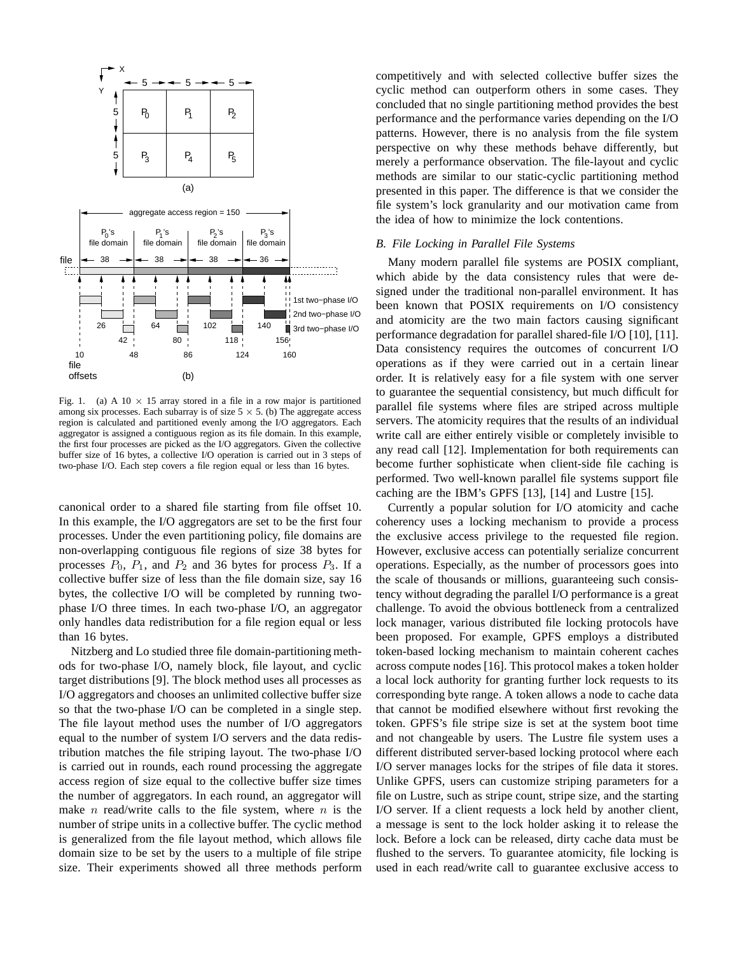

Fig. 1. (a) A  $10 \times 15$  array stored in a file in a row major is partitioned among six processes. Each subarray is of size  $5 \times 5$ . (b) The aggregate access region is calculated and partitioned evenly among the I/O aggregators. Each aggregator is assigned a contiguous region as its file domain. In this example, the first four processes are picked as the I/O aggregators. Given the collective buffer size of 16 bytes, a collective I/O operation is carried out in 3 steps of two-phase I/O. Each step covers a file region equal or less than 16 bytes.

canonical order to a shared file starting from file offset 10. In this example, the I/O aggregators are set to be the first four processes. Under the even partitioning policy, file domains are non-overlapping contiguous file regions of size 38 bytes for processes  $P_0$ ,  $P_1$ , and  $P_2$  and 36 bytes for process  $P_3$ . If a collective buffer size of less than the file domain size, say 16 bytes, the collective I/O will be completed by running twophase I/O three times. In each two-phase I/O, an aggregator only handles data redistribution for a file region equal or less than 16 bytes.

Nitzberg and Lo studied three file domain-partitioning methods for two-phase I/O, namely block, file layout, and cyclic target distributions [9]. The block method uses all processes as I/O aggregators and chooses an unlimited collective buffer size so that the two-phase I/O can be completed in a single step. The file layout method uses the number of I/O aggregators equal to the number of system I/O servers and the data redistribution matches the file striping layout. The two-phase I/O is carried out in rounds, each round processing the aggregate access region of size equal to the collective buffer size times the number of aggregators. In each round, an aggregator will make *n* read/write calls to the file system, where *n* is the number of stripe units in a collective buffer. The cyclic method is generalized from the file layout method, which allows file domain size to be set by the users to a multiple of file stripe size. Their experiments showed all three methods perform competitively and with selected collective buffer sizes the cyclic method can outperform others in some cases. They concluded that no single partitioning method provides the best performance and the performance varies depending on the I/O patterns. However, there is no analysis from the file system perspective on why these methods behave differently, but merely a performance observation. The file-layout and cyclic methods are similar to our static-cyclic partitioning method presented in this paper. The difference is that we consider the file system's lock granularity and our motivation came from the idea of how to minimize the lock contentions.

## *B. File Locking in Parallel File Systems*

Many modern parallel file systems are POSIX compliant, which abide by the data consistency rules that were designed under the traditional non-parallel environment. It has been known that POSIX requirements on I/O consistency and atomicity are the two main factors causing significant performance degradation for parallel shared-file I/O [10], [11]. Data consistency requires the outcomes of concurrent I/O operations as if they were carried out in a certain linear order. It is relatively easy for a file system with one server to guarantee the sequential consistency, but much difficult for parallel file systems where files are striped across multiple servers. The atomicity requires that the results of an individual write call are either entirely visible or completely invisible to any read call [12]. Implementation for both requirements can become further sophisticate when client-side file caching is performed. Two well-known parallel file systems support file caching are the IBM's GPFS [13], [14] and Lustre [15].

Currently a popular solution for I/O atomicity and cache coherency uses a locking mechanism to provide a process the exclusive access privilege to the requested file region. However, exclusive access can potentially serialize concurrent operations. Especially, as the number of processors goes into the scale of thousands or millions, guaranteeing such consistency without degrading the parallel I/O performance is a great challenge. To avoid the obvious bottleneck from a centralized lock manager, various distributed file locking protocols have been proposed. For example, GPFS employs a distributed token-based locking mechanism to maintain coherent caches across compute nodes [16]. This protocol makes a token holder a local lock authority for granting further lock requests to its corresponding byte range. A token allows a node to cache data that cannot be modified elsewhere without first revoking the token. GPFS's file stripe size is set at the system boot time and not changeable by users. The Lustre file system uses a different distributed server-based locking protocol where each I/O server manages locks for the stripes of file data it stores. Unlike GPFS, users can customize striping parameters for a file on Lustre, such as stripe count, stripe size, and the starting I/O server. If a client requests a lock held by another client, a message is sent to the lock holder asking it to release the lock. Before a lock can be released, dirty cache data must be flushed to the servers. To guarantee atomicity, file locking is used in each read/write call to guarantee exclusive access to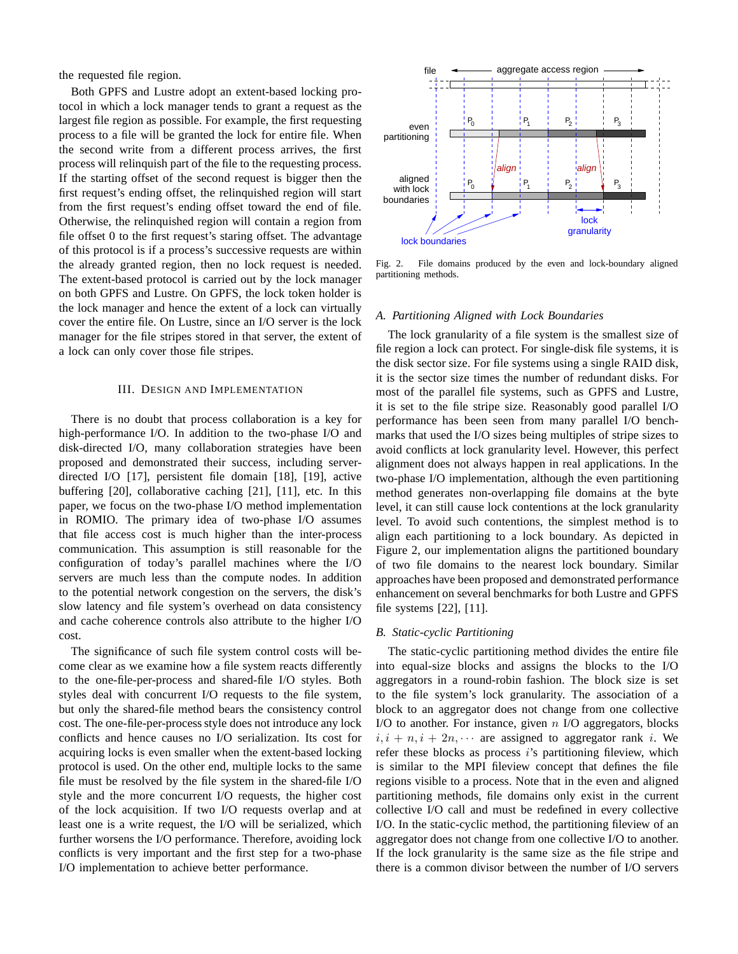the requested file region.

Both GPFS and Lustre adopt an extent-based locking protocol in which a lock manager tends to grant a request as the largest file region as possible. For example, the first requesting process to a file will be granted the lock for entire file. When the second write from a different process arrives, the first process will relinquish part of the file to the requesting process. If the starting offset of the second request is bigger then the first request's ending offset, the relinquished region will start from the first request's ending offset toward the end of file. Otherwise, the relinquished region will contain a region from file offset 0 to the first request's staring offset. The advantage of this protocol is if a process's successive requests are within the already granted region, then no lock request is needed. The extent-based protocol is carried out by the lock manager on both GPFS and Lustre. On GPFS, the lock token holder is the lock manager and hence the extent of a lock can virtually cover the entire file. On Lustre, since an I/O server is the lock manager for the file stripes stored in that server, the extent of a lock can only cover those file stripes.

#### III. DESIGN AND IMPLEMENTATION

There is no doubt that process collaboration is a key for high-performance I/O. In addition to the two-phase I/O and disk-directed I/O, many collaboration strategies have been proposed and demonstrated their success, including serverdirected I/O [17], persistent file domain [18], [19], active buffering [20], collaborative caching [21], [11], etc. In this paper, we focus on the two-phase I/O method implementation in ROMIO. The primary idea of two-phase I/O assumes that file access cost is much higher than the inter-process communication. This assumption is still reasonable for the configuration of today's parallel machines where the I/O servers are much less than the compute nodes. In addition to the potential network congestion on the servers, the disk's slow latency and file system's overhead on data consistency and cache coherence controls also attribute to the higher I/O cost.

The significance of such file system control costs will become clear as we examine how a file system reacts differently to the one-file-per-process and shared-file I/O styles. Both styles deal with concurrent I/O requests to the file system, but only the shared-file method bears the consistency control cost. The one-file-per-process style does not introduce any lock conflicts and hence causes no I/O serialization. Its cost for acquiring locks is even smaller when the extent-based locking protocol is used. On the other end, multiple locks to the same file must be resolved by the file system in the shared-file I/O style and the more concurrent I/O requests, the higher cost of the lock acquisition. If two I/O requests overlap and at least one is a write request, the I/O will be serialized, which further worsens the I/O performance. Therefore, avoiding lock conflicts is very important and the first step for a two-phase I/O implementation to achieve better performance.



Fig. 2. File domains produced by the even and lock-boundary aligned partitioning methods.

#### *A. Partitioning Aligned with Lock Boundaries*

The lock granularity of a file system is the smallest size of file region a lock can protect. For single-disk file systems, it is the disk sector size. For file systems using a single RAID disk, it is the sector size times the number of redundant disks. For most of the parallel file systems, such as GPFS and Lustre, it is set to the file stripe size. Reasonably good parallel I/O performance has been seen from many parallel I/O benchmarks that used the I/O sizes being multiples of stripe sizes to avoid conflicts at lock granularity level. However, this perfect alignment does not always happen in real applications. In the two-phase I/O implementation, although the even partitioning method generates non-overlapping file domains at the byte level, it can still cause lock contentions at the lock granularity level. To avoid such contentions, the simplest method is to align each partitioning to a lock boundary. As depicted in Figure 2, our implementation aligns the partitioned boundary of two file domains to the nearest lock boundary. Similar approaches have been proposed and demonstrated performance enhancement on several benchmarks for both Lustre and GPFS file systems [22], [11].

#### *B. Static-cyclic Partitioning*

The static-cyclic partitioning method divides the entire file into equal-size blocks and assigns the blocks to the I/O aggregators in a round-robin fashion. The block size is set to the file system's lock granularity. The association of a block to an aggregator does not change from one collective I/O to another. For instance, given  $n$  I/O aggregators, blocks  $i, i + n, i + 2n, \dots$  are assigned to aggregator rank i. We refer these blocks as process  $i$ 's partitioning fileview, which is similar to the MPI fileview concept that defines the file regions visible to a process. Note that in the even and aligned partitioning methods, file domains only exist in the current collective I/O call and must be redefined in every collective I/O. In the static-cyclic method, the partitioning fileview of an aggregator does not change from one collective I/O to another. If the lock granularity is the same size as the file stripe and there is a common divisor between the number of I/O servers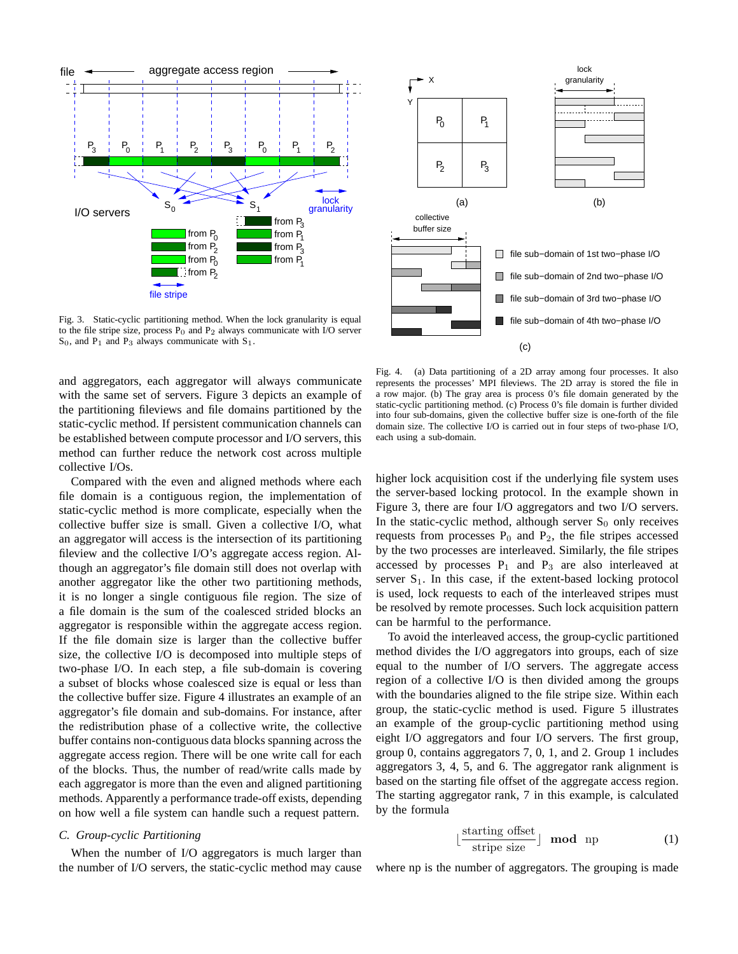

Fig. 3. Static-cyclic partitioning method. When the lock granularity is equal to the file stripe size, process  $P_0$  and  $P_2$  always communicate with I/O server  $S_0$ , and  $P_1$  and  $P_3$  always communicate with  $S_1$ .

and aggregators, each aggregator will always communicate with the same set of servers. Figure 3 depicts an example of the partitioning fileviews and file domains partitioned by the static-cyclic method. If persistent communication channels can be established between compute processor and I/O servers, this method can further reduce the network cost across multiple collective I/Os.

Compared with the even and aligned methods where each file domain is a contiguous region, the implementation of static-cyclic method is more complicate, especially when the collective buffer size is small. Given a collective I/O, what an aggregator will access is the intersection of its partitioning fileview and the collective I/O's aggregate access region. Although an aggregator's file domain still does not overlap with another aggregator like the other two partitioning methods, it is no longer a single contiguous file region. The size of a file domain is the sum of the coalesced strided blocks an aggregator is responsible within the aggregate access region. If the file domain size is larger than the collective buffer size, the collective I/O is decomposed into multiple steps of two-phase I/O. In each step, a file sub-domain is covering a subset of blocks whose coalesced size is equal or less than the collective buffer size. Figure 4 illustrates an example of an aggregator's file domain and sub-domains. For instance, after the redistribution phase of a collective write, the collective buffer contains non-contiguous data blocks spanning across the aggregate access region. There will be one write call for each of the blocks. Thus, the number of read/write calls made by each aggregator is more than the even and aligned partitioning methods. Apparently a performance trade-off exists, depending on how well a file system can handle such a request pattern.

#### *C. Group-cyclic Partitioning*

When the number of I/O aggregators is much larger than the number of I/O servers, the static-cyclic method may cause



Fig. 4. (a) Data partitioning of a 2D array among four processes. It also represents the processes' MPI fileviews. The 2D array is stored the file in a row major. (b) The gray area is process 0's file domain generated by the static-cyclic partitioning method. (c) Process 0's file domain is further divided into four sub-domains, given the collective buffer size is one-forth of the file domain size. The collective I/O is carried out in four steps of two-phase I/O, each using a sub-domain.

higher lock acquisition cost if the underlying file system uses the server-based locking protocol. In the example shown in Figure 3, there are four I/O aggregators and two I/O servers. In the static-cyclic method, although server  $S_0$  only receives requests from processes  $P_0$  and  $P_2$ , the file stripes accessed by the two processes are interleaved. Similarly, the file stripes accessed by processes  $P_1$  and  $P_3$  are also interleaved at server  $S_1$ . In this case, if the extent-based locking protocol is used, lock requests to each of the interleaved stripes must be resolved by remote processes. Such lock acquisition pattern can be harmful to the performance.

To avoid the interleaved access, the group-cyclic partitioned method divides the I/O aggregators into groups, each of size equal to the number of I/O servers. The aggregate access region of a collective I/O is then divided among the groups with the boundaries aligned to the file stripe size. Within each group, the static-cyclic method is used. Figure 5 illustrates an example of the group-cyclic partitioning method using eight I/O aggregators and four I/O servers. The first group, group 0, contains aggregators 7, 0, 1, and 2. Group 1 includes aggregators 3, 4, 5, and 6. The aggregator rank alignment is based on the starting file offset of the aggregate access region. The starting aggregator rank, 7 in this example, is calculated by the formula

$$
\lfloor \frac{\text{starting offset}}{\text{stripe size}} \rfloor \mod \text{np} \tag{1}
$$

where np is the number of aggregators. The grouping is made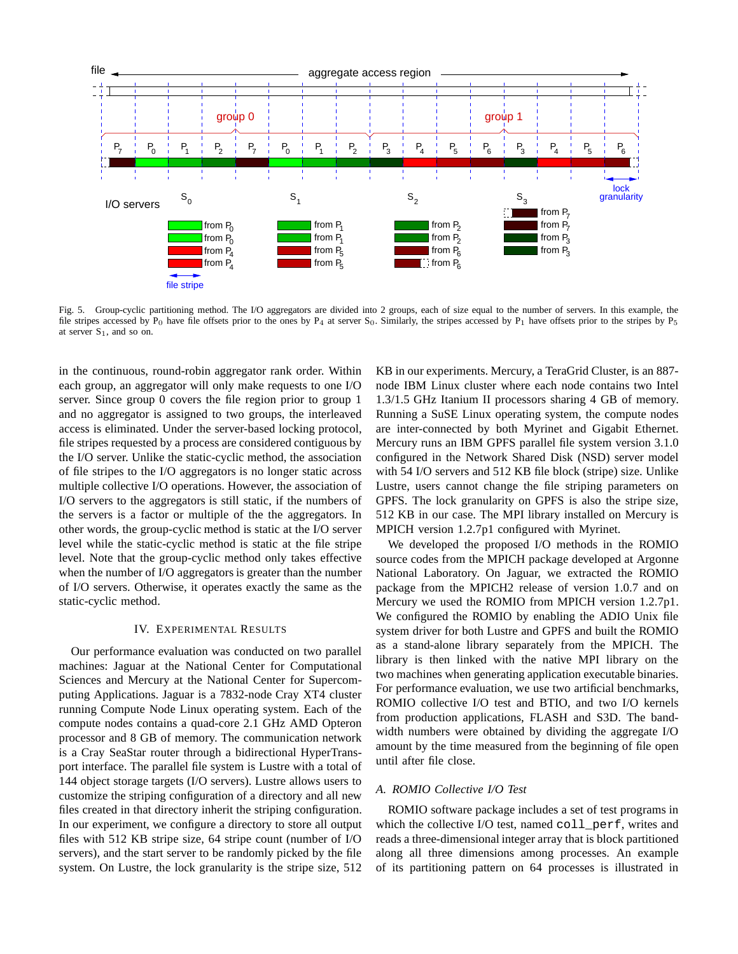

Fig. 5. Group-cyclic partitioning method. The I/O aggregators are divided into 2 groups, each of size equal to the number of servers. In this example, the file stripes accessed by P<sub>0</sub> have file offsets prior to the ones by P<sub>4</sub> at server S<sub>0</sub>. Similarly, the stripes accessed by P<sub>1</sub> have offsets prior to the stripes by P<sub>5</sub> at server  $S_1$ , and so on.

in the continuous, round-robin aggregator rank order. Within each group, an aggregator will only make requests to one I/O server. Since group 0 covers the file region prior to group 1 and no aggregator is assigned to two groups, the interleaved access is eliminated. Under the server-based locking protocol, file stripes requested by a process are considered contiguous by the I/O server. Unlike the static-cyclic method, the association of file stripes to the I/O aggregators is no longer static across multiple collective I/O operations. However, the association of I/O servers to the aggregators is still static, if the numbers of the servers is a factor or multiple of the the aggregators. In other words, the group-cyclic method is static at the I/O server level while the static-cyclic method is static at the file stripe level. Note that the group-cyclic method only takes effective when the number of I/O aggregators is greater than the number of I/O servers. Otherwise, it operates exactly the same as the static-cyclic method.

## IV. EXPERIMENTAL RESULTS

Our performance evaluation was conducted on two parallel machines: Jaguar at the National Center for Computational Sciences and Mercury at the National Center for Supercomputing Applications. Jaguar is a 7832-node Cray XT4 cluster running Compute Node Linux operating system. Each of the compute nodes contains a quad-core 2.1 GHz AMD Opteron processor and 8 GB of memory. The communication network is a Cray SeaStar router through a bidirectional HyperTransport interface. The parallel file system is Lustre with a total of 144 object storage targets (I/O servers). Lustre allows users to customize the striping configuration of a directory and all new files created in that directory inherit the striping configuration. In our experiment, we configure a directory to store all output files with 512 KB stripe size, 64 stripe count (number of I/O servers), and the start server to be randomly picked by the file system. On Lustre, the lock granularity is the stripe size, 512

KB in our experiments. Mercury, a TeraGrid Cluster, is an 887 node IBM Linux cluster where each node contains two Intel 1.3/1.5 GHz Itanium II processors sharing 4 GB of memory. Running a SuSE Linux operating system, the compute nodes are inter-connected by both Myrinet and Gigabit Ethernet. Mercury runs an IBM GPFS parallel file system version 3.1.0 configured in the Network Shared Disk (NSD) server model with 54 I/O servers and 512 KB file block (stripe) size. Unlike Lustre, users cannot change the file striping parameters on GPFS. The lock granularity on GPFS is also the stripe size, 512 KB in our case. The MPI library installed on Mercury is MPICH version 1.2.7p1 configured with Myrinet.

We developed the proposed I/O methods in the ROMIO source codes from the MPICH package developed at Argonne National Laboratory. On Jaguar, we extracted the ROMIO package from the MPICH2 release of version 1.0.7 and on Mercury we used the ROMIO from MPICH version 1.2.7p1. We configured the ROMIO by enabling the ADIO Unix file system driver for both Lustre and GPFS and built the ROMIO as a stand-alone library separately from the MPICH. The library is then linked with the native MPI library on the two machines when generating application executable binaries. For performance evaluation, we use two artificial benchmarks, ROMIO collective I/O test and BTIO, and two I/O kernels from production applications, FLASH and S3D. The bandwidth numbers were obtained by dividing the aggregate I/O amount by the time measured from the beginning of file open until after file close.

## *A. ROMIO Collective I/O Test*

ROMIO software package includes a set of test programs in which the collective I/O test, named coll\_perf, writes and reads a three-dimensional integer array that is block partitioned along all three dimensions among processes. An example of its partitioning pattern on 64 processes is illustrated in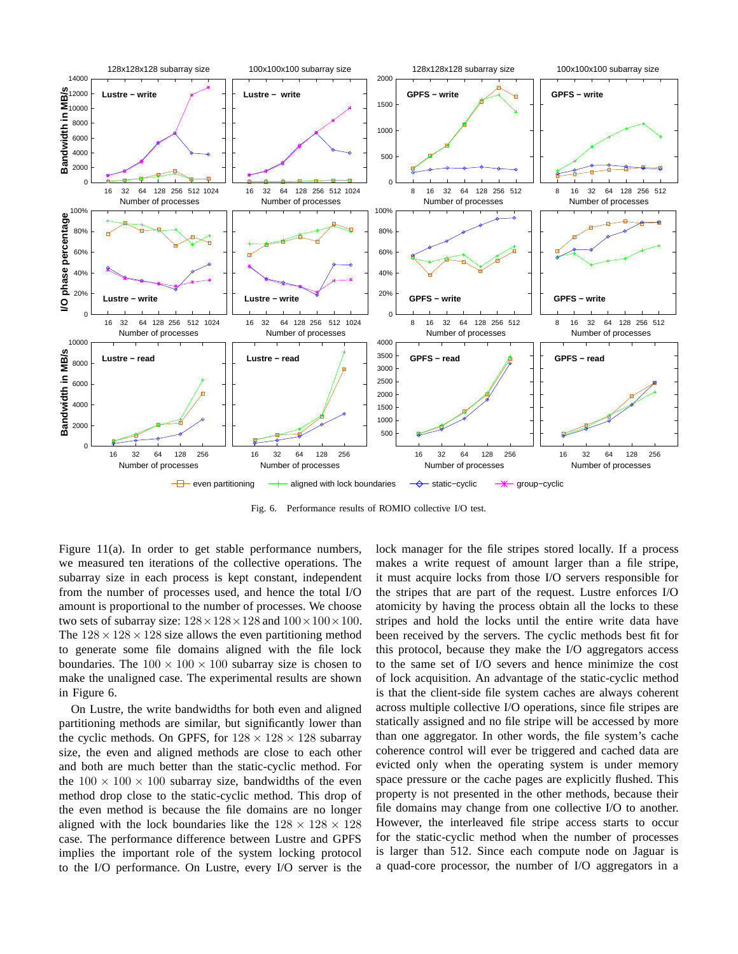

Fig. 6. Performance results of ROMIO collective I/O test.

Figure 11(a). In order to get stable performance numbers, we measured ten iterations of the collective operations. The subarray size in each process is kept constant, independent from the number of processes used, and hence the total I/O amount is proportional to the number of processes. We choose two sets of subarray size:  $128 \times 128 \times 128$  and  $100 \times 100 \times 100$ . The  $128 \times 128 \times 128$  size allows the even partitioning method to generate some file domains aligned with the file lock boundaries. The  $100 \times 100 \times 100$  subarray size is chosen to make the unaligned case. The experimental results are shown in Figure 6.

On Lustre, the write bandwidths for both even and aligned partitioning methods are similar, but significantly lower than the cyclic methods. On GPFS, for  $128 \times 128 \times 128$  subarray size, the even and aligned methods are close to each other and both are much better than the static-cyclic method. For the  $100 \times 100 \times 100$  subarray size, bandwidths of the even method drop close to the static-cyclic method. This drop of the even method is because the file domains are no longer aligned with the lock boundaries like the  $128 \times 128 \times 128$ case. The performance difference between Lustre and GPFS implies the important role of the system locking protocol to the I/O performance. On Lustre, every I/O server is the

lock manager for the file stripes stored locally. If a process makes a write request of amount larger than a file stripe, it must acquire locks from those I/O servers responsible for the stripes that are part of the request. Lustre enforces I/O atomicity by having the process obtain all the locks to these stripes and hold the locks until the entire write data have been received by the servers. The cyclic methods best fit for this protocol, because they make the I/O aggregators access to the same set of I/O severs and hence minimize the cost of lock acquisition. An advantage of the static-cyclic method is that the client-side file system caches are always coherent across multiple collective I/O operations, since file stripes are statically assigned and no file stripe will be accessed by more than one aggregator. In other words, the file system's cache coherence control will ever be triggered and cached data are evicted only when the operating system is under memory space pressure or the cache pages are explicitly flushed. This property is not presented in the other methods, because their file domains may change from one collective I/O to another. However, the interleaved file stripe access starts to occur for the static-cyclic method when the number of processes is larger than 512. Since each compute node on Jaguar is a quad-core processor, the number of I/O aggregators in a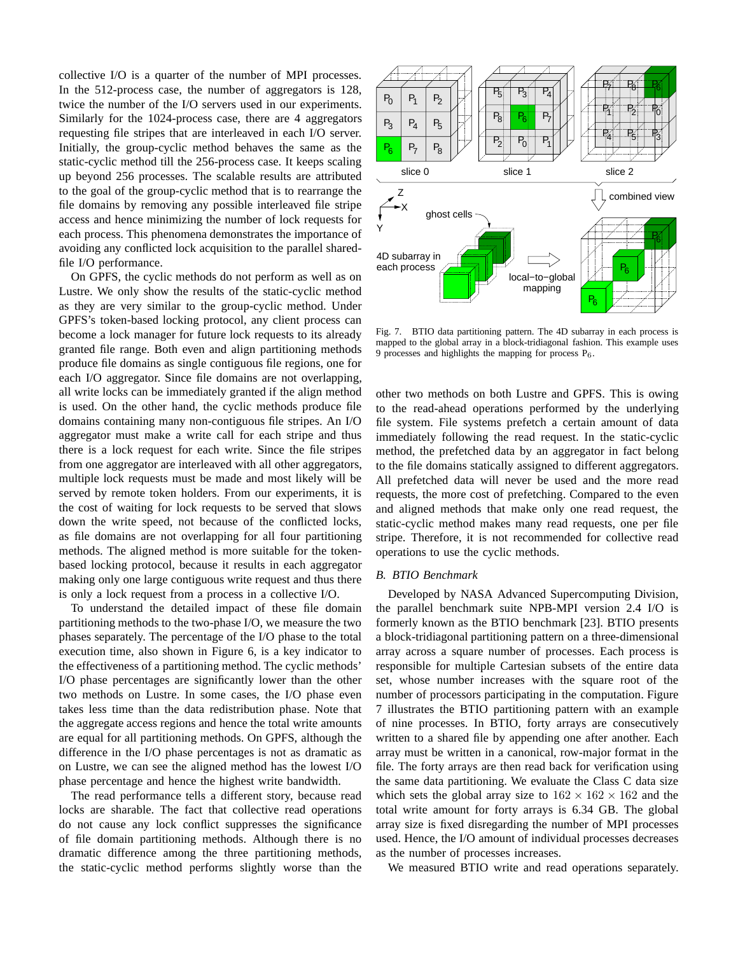collective I/O is a quarter of the number of MPI processes. In the 512-process case, the number of aggregators is 128, twice the number of the I/O servers used in our experiments. Similarly for the 1024-process case, there are 4 aggregators requesting file stripes that are interleaved in each I/O server. Initially, the group-cyclic method behaves the same as the static-cyclic method till the 256-process case. It keeps scaling up beyond 256 processes. The scalable results are attributed to the goal of the group-cyclic method that is to rearrange the file domains by removing any possible interleaved file stripe access and hence minimizing the number of lock requests for each process. This phenomena demonstrates the importance of avoiding any conflicted lock acquisition to the parallel sharedfile I/O performance.

On GPFS, the cyclic methods do not perform as well as on Lustre. We only show the results of the static-cyclic method as they are very similar to the group-cyclic method. Under GPFS's token-based locking protocol, any client process can become a lock manager for future lock requests to its already granted file range. Both even and align partitioning methods produce file domains as single contiguous file regions, one for each I/O aggregator. Since file domains are not overlapping, all write locks can be immediately granted if the align method is used. On the other hand, the cyclic methods produce file domains containing many non-contiguous file stripes. An I/O aggregator must make a write call for each stripe and thus there is a lock request for each write. Since the file stripes from one aggregator are interleaved with all other aggregators, multiple lock requests must be made and most likely will be served by remote token holders. From our experiments, it is the cost of waiting for lock requests to be served that slows down the write speed, not because of the conflicted locks, as file domains are not overlapping for all four partitioning methods. The aligned method is more suitable for the tokenbased locking protocol, because it results in each aggregator making only one large contiguous write request and thus there is only a lock request from a process in a collective I/O.

To understand the detailed impact of these file domain partitioning methods to the two-phase I/O, we measure the two phases separately. The percentage of the I/O phase to the total execution time, also shown in Figure 6, is a key indicator to the effectiveness of a partitioning method. The cyclic methods' I/O phase percentages are significantly lower than the other two methods on Lustre. In some cases, the I/O phase even takes less time than the data redistribution phase. Note that the aggregate access regions and hence the total write amounts are equal for all partitioning methods. On GPFS, although the difference in the I/O phase percentages is not as dramatic as on Lustre, we can see the aligned method has the lowest I/O phase percentage and hence the highest write bandwidth.

The read performance tells a different story, because read locks are sharable. The fact that collective read operations do not cause any lock conflict suppresses the significance of file domain partitioning methods. Although there is no dramatic difference among the three partitioning methods, the static-cyclic method performs slightly worse than the



Fig. 7. BTIO data partitioning pattern. The 4D subarray in each process is mapped to the global array in a block-tridiagonal fashion. This example uses 9 processes and highlights the mapping for process P6.

other two methods on both Lustre and GPFS. This is owing to the read-ahead operations performed by the underlying file system. File systems prefetch a certain amount of data immediately following the read request. In the static-cyclic method, the prefetched data by an aggregator in fact belong to the file domains statically assigned to different aggregators. All prefetched data will never be used and the more read requests, the more cost of prefetching. Compared to the even and aligned methods that make only one read request, the static-cyclic method makes many read requests, one per file stripe. Therefore, it is not recommended for collective read operations to use the cyclic methods.

# *B. BTIO Benchmark*

Developed by NASA Advanced Supercomputing Division, the parallel benchmark suite NPB-MPI version 2.4 I/O is formerly known as the BTIO benchmark [23]. BTIO presents a block-tridiagonal partitioning pattern on a three-dimensional array across a square number of processes. Each process is responsible for multiple Cartesian subsets of the entire data set, whose number increases with the square root of the number of processors participating in the computation. Figure 7 illustrates the BTIO partitioning pattern with an example of nine processes. In BTIO, forty arrays are consecutively written to a shared file by appending one after another. Each array must be written in a canonical, row-major format in the file. The forty arrays are then read back for verification using the same data partitioning. We evaluate the Class C data size which sets the global array size to  $162 \times 162 \times 162$  and the total write amount for forty arrays is 6.34 GB. The global array size is fixed disregarding the number of MPI processes used. Hence, the I/O amount of individual processes decreases as the number of processes increases.

We measured BTIO write and read operations separately.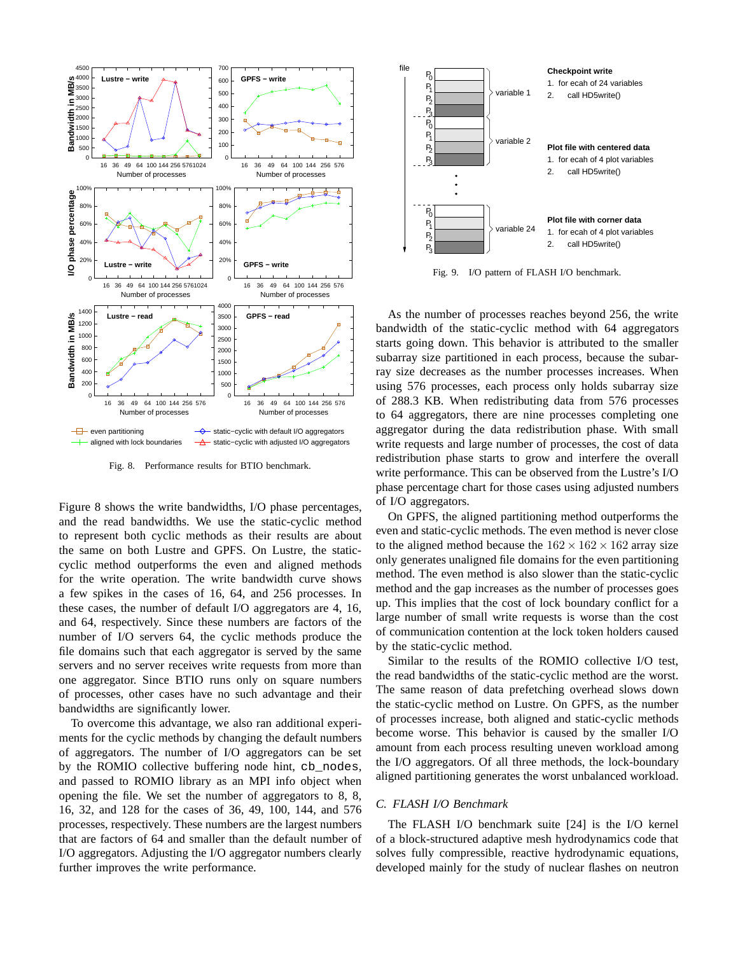

Fig. 8. Performance results for BTIO benchmark.

Figure 8 shows the write bandwidths, I/O phase percentages, and the read bandwidths. We use the static-cyclic method to represent both cyclic methods as their results are about the same on both Lustre and GPFS. On Lustre, the staticcyclic method outperforms the even and aligned methods for the write operation. The write bandwidth curve shows a few spikes in the cases of 16, 64, and 256 processes. In these cases, the number of default I/O aggregators are 4, 16, and 64, respectively. Since these numbers are factors of the number of I/O servers 64, the cyclic methods produce the file domains such that each aggregator is served by the same servers and no server receives write requests from more than one aggregator. Since BTIO runs only on square numbers of processes, other cases have no such advantage and their bandwidths are significantly lower.

To overcome this advantage, we also ran additional experiments for the cyclic methods by changing the default numbers of aggregators. The number of I/O aggregators can be set by the ROMIO collective buffering node hint, cb\_nodes, and passed to ROMIO library as an MPI info object when opening the file. We set the number of aggregators to 8, 8, 16, 32, and 128 for the cases of 36, 49, 100, 144, and 576 processes, respectively. These numbers are the largest numbers that are factors of 64 and smaller than the default number of I/O aggregators. Adjusting the I/O aggregator numbers clearly further improves the write performance.



Fig. 9. I/O pattern of FLASH I/O benchmark.

As the number of processes reaches beyond 256, the write bandwidth of the static-cyclic method with 64 aggregators starts going down. This behavior is attributed to the smaller subarray size partitioned in each process, because the subarray size decreases as the number processes increases. When using 576 processes, each process only holds subarray size of 288.3 KB. When redistributing data from 576 processes to 64 aggregators, there are nine processes completing one aggregator during the data redistribution phase. With small write requests and large number of processes, the cost of data redistribution phase starts to grow and interfere the overall write performance. This can be observed from the Lustre's I/O phase percentage chart for those cases using adjusted numbers of I/O aggregators.

On GPFS, the aligned partitioning method outperforms the even and static-cyclic methods. The even method is never close to the aligned method because the  $162 \times 162 \times 162$  array size only generates unaligned file domains for the even partitioning method. The even method is also slower than the static-cyclic method and the gap increases as the number of processes goes up. This implies that the cost of lock boundary conflict for a large number of small write requests is worse than the cost of communication contention at the lock token holders caused by the static-cyclic method.

Similar to the results of the ROMIO collective I/O test, the read bandwidths of the static-cyclic method are the worst. The same reason of data prefetching overhead slows down the static-cyclic method on Lustre. On GPFS, as the number of processes increase, both aligned and static-cyclic methods become worse. This behavior is caused by the smaller I/O amount from each process resulting uneven workload among the I/O aggregators. Of all three methods, the lock-boundary aligned partitioning generates the worst unbalanced workload.

## *C. FLASH I/O Benchmark*

The FLASH I/O benchmark suite [24] is the I/O kernel of a block-structured adaptive mesh hydrodynamics code that solves fully compressible, reactive hydrodynamic equations, developed mainly for the study of nuclear flashes on neutron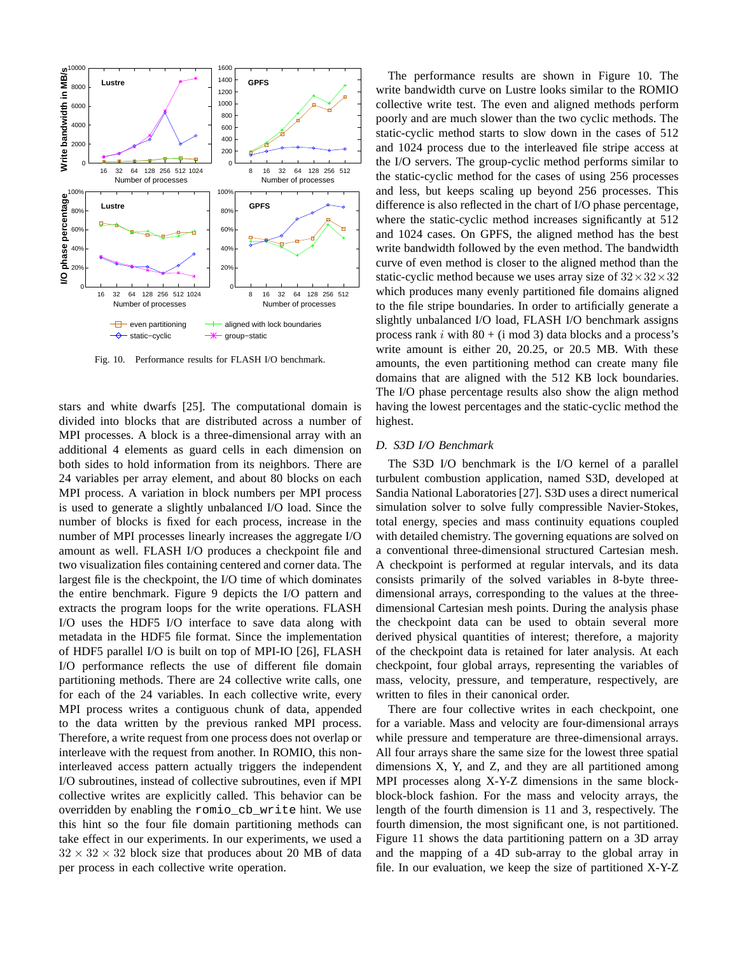

Fig. 10. Performance results for FLASH I/O benchmark.

stars and white dwarfs [25]. The computational domain is divided into blocks that are distributed across a number of MPI processes. A block is a three-dimensional array with an additional 4 elements as guard cells in each dimension on both sides to hold information from its neighbors. There are 24 variables per array element, and about 80 blocks on each MPI process. A variation in block numbers per MPI process is used to generate a slightly unbalanced I/O load. Since the number of blocks is fixed for each process, increase in the number of MPI processes linearly increases the aggregate I/O amount as well. FLASH I/O produces a checkpoint file and two visualization files containing centered and corner data. The largest file is the checkpoint, the I/O time of which dominates the entire benchmark. Figure 9 depicts the I/O pattern and extracts the program loops for the write operations. FLASH I/O uses the HDF5 I/O interface to save data along with metadata in the HDF5 file format. Since the implementation of HDF5 parallel I/O is built on top of MPI-IO [26], FLASH I/O performance reflects the use of different file domain partitioning methods. There are 24 collective write calls, one for each of the 24 variables. In each collective write, every MPI process writes a contiguous chunk of data, appended to the data written by the previous ranked MPI process. Therefore, a write request from one process does not overlap or interleave with the request from another. In ROMIO, this noninterleaved access pattern actually triggers the independent I/O subroutines, instead of collective subroutines, even if MPI collective writes are explicitly called. This behavior can be overridden by enabling the romio\_cb\_write hint. We use this hint so the four file domain partitioning methods can take effect in our experiments. In our experiments, we used a  $32 \times 32 \times 32$  block size that produces about 20 MB of data per process in each collective write operation.

The performance results are shown in Figure 10. The write bandwidth curve on Lustre looks similar to the ROMIO collective write test. The even and aligned methods perform poorly and are much slower than the two cyclic methods. The static-cyclic method starts to slow down in the cases of 512 and 1024 process due to the interleaved file stripe access at the I/O servers. The group-cyclic method performs similar to the static-cyclic method for the cases of using 256 processes and less, but keeps scaling up beyond 256 processes. This difference is also reflected in the chart of I/O phase percentage, where the static-cyclic method increases significantly at 512 and 1024 cases. On GPFS, the aligned method has the best write bandwidth followed by the even method. The bandwidth curve of even method is closer to the aligned method than the static-cyclic method because we uses array size of  $32 \times 32 \times 32$ which produces many evenly partitioned file domains aligned to the file stripe boundaries. In order to artificially generate a slightly unbalanced I/O load, FLASH I/O benchmark assigns process rank  $i$  with 80 + (i mod 3) data blocks and a process's write amount is either 20, 20.25, or 20.5 MB. With these amounts, the even partitioning method can create many file domains that are aligned with the 512 KB lock boundaries. The I/O phase percentage results also show the align method having the lowest percentages and the static-cyclic method the highest.

# *D. S3D I/O Benchmark*

The S3D I/O benchmark is the I/O kernel of a parallel turbulent combustion application, named S3D, developed at Sandia National Laboratories [27]. S3D uses a direct numerical simulation solver to solve fully compressible Navier-Stokes, total energy, species and mass continuity equations coupled with detailed chemistry. The governing equations are solved on a conventional three-dimensional structured Cartesian mesh. A checkpoint is performed at regular intervals, and its data consists primarily of the solved variables in 8-byte threedimensional arrays, corresponding to the values at the threedimensional Cartesian mesh points. During the analysis phase the checkpoint data can be used to obtain several more derived physical quantities of interest; therefore, a majority of the checkpoint data is retained for later analysis. At each checkpoint, four global arrays, representing the variables of mass, velocity, pressure, and temperature, respectively, are written to files in their canonical order.

There are four collective writes in each checkpoint, one for a variable. Mass and velocity are four-dimensional arrays while pressure and temperature are three-dimensional arrays. All four arrays share the same size for the lowest three spatial dimensions X, Y, and Z, and they are all partitioned among MPI processes along X-Y-Z dimensions in the same blockblock-block fashion. For the mass and velocity arrays, the length of the fourth dimension is 11 and 3, respectively. The fourth dimension, the most significant one, is not partitioned. Figure 11 shows the data partitioning pattern on a 3D array and the mapping of a 4D sub-array to the global array in file. In our evaluation, we keep the size of partitioned X-Y-Z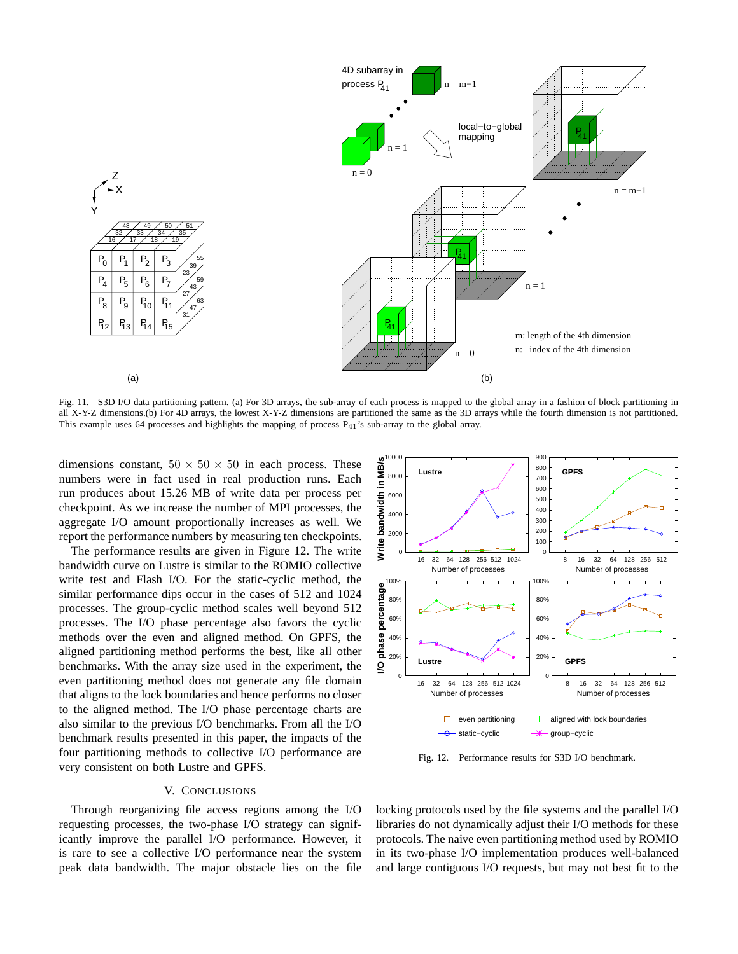

Fig. 11. S3D I/O data partitioning pattern. (a) For 3D arrays, the sub-array of each process is mapped to the global array in a fashion of block partitioning in all X-Y-Z dimensions.(b) For 4D arrays, the lowest X-Y-Z dimensions are partitioned the same as the 3D arrays while the fourth dimension is not partitioned. This example uses 64 processes and highlights the mapping of process P41's sub-array to the global array.

dimensions constant,  $50 \times 50 \times 50$  in each process. These numbers were in fact used in real production runs. Each run produces about 15.26 MB of write data per process per checkpoint. As we increase the number of MPI processes, the aggregate I/O amount proportionally increases as well. We report the performance numbers by measuring ten checkpoints.

The performance results are given in Figure 12. The write bandwidth curve on Lustre is similar to the ROMIO collective write test and Flash I/O. For the static-cyclic method, the similar performance dips occur in the cases of 512 and 1024 processes. The group-cyclic method scales well beyond 512 processes. The I/O phase percentage also favors the cyclic methods over the even and aligned method. On GPFS, the aligned partitioning method performs the best, like all other benchmarks. With the array size used in the experiment, the even partitioning method does not generate any file domain that aligns to the lock boundaries and hence performs no closer to the aligned method. The I/O phase percentage charts are also similar to the previous I/O benchmarks. From all the I/O benchmark results presented in this paper, the impacts of the four partitioning methods to collective I/O performance are very consistent on both Lustre and GPFS.

#### V. CONCLUSIONS

Through reorganizing file access regions among the I/O requesting processes, the two-phase I/O strategy can significantly improve the parallel I/O performance. However, it is rare to see a collective I/O performance near the system peak data bandwidth. The major obstacle lies on the file



Fig. 12. Performance results for S3D I/O benchmark.

locking protocols used by the file systems and the parallel I/O libraries do not dynamically adjust their I/O methods for these protocols. The naive even partitioning method used by ROMIO in its two-phase I/O implementation produces well-balanced and large contiguous I/O requests, but may not best fit to the